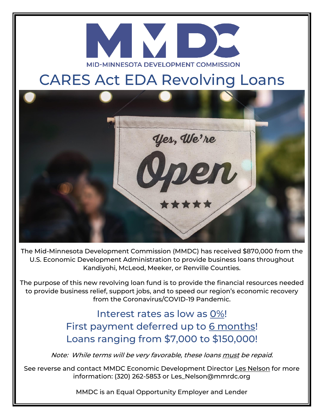

## CARES Act EDA Revolving Loans



The Mid-Minnesota Development Commission (MMDC) has received \$870,000 from the U.S. Economic Development Administration to provide business loans throughout Kandiyohi, McLeod, Meeker, or Renville Counties.

The purpose of this new revolving loan fund is to provide the financial resources needed to provide business relief, support jobs, and to speed our region's economic recovery from the Coronavirus/COVID-19 Pandemic.

> Interest rates as low as 0%! First payment deferred up to 6 months! Loans ranging from \$7,000 to \$150,000!

Note: While terms will be very favorable, these loans must be repaid.

See reverse and contact MMDC Economic Development Director Les Nelson for more information: (320) 262-5853 or Les\_Nelson@mmrdc.org

MMDC is an Equal Opportunity Employer and Lender